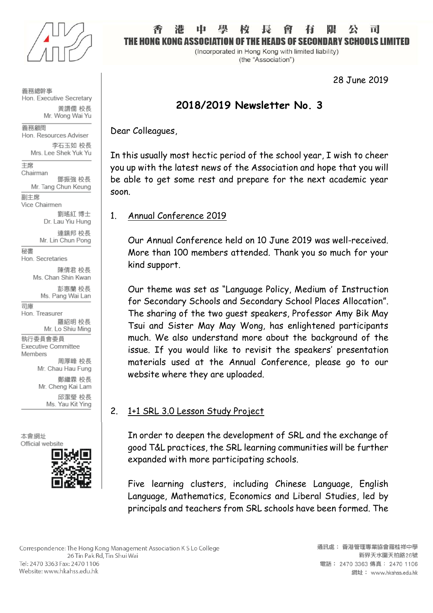

義務總幹事 Hon. Executive Secretary 黃謂儒 校長 Mr. Wong Wai Yu

義務顧問 Hon. Resources Adviser 李石玉如 校長

Mrs. Lee Shek Yuk Yu

主席 Chairman

鄧振強 校長 Mr. Tang Chun Keung 副主席

Vice Chairmen

劉瑤紅 博士 Dr. Lau Yiu Hung

連鎮邦 校長 Mr. Lin Chun Pong

秘書 Hon. Secretaries

> 陳倩君 校長 Ms. Chan Shin Kwan

彭惠蘭 校長 Ms. Pang Wai Lan

司庫 Hon. Treasurer 羅紹明 校長

Mr. Lo Shiu Ming 執行委員會委員

**Executive Committee** Members 周厚峰 校長

Mr. Chau Hau Fung

鄭繼霖 校長 Mr. Cheng Kai Lam 邱潔瑩 校長 Ms. Yau Kit Ying

木會網址 Official website



#### īi IE HANG KANG ASSAC OF THE HEADS OF SECONDARY SCHOOLS LIM

(Incorporated in Hong Kong with limited liability) (the "Association")

28 June 2019

# **2018/2019 Newsletter No. 3**

Dear Colleagues,

In this usually most hectic period of the school year, I wish to cheer you up with the latest news of the Association and hope that you will be able to get some rest and prepare for the next academic year soon.

# 1. Annual Conference 2019

Our Annual Conference held on 10 June 2019 was well-received. More than 100 members attended. Thank you so much for your kind support.

Our theme was set as "Language Policy, Medium of Instruction for Secondary Schools and Secondary School Places Allocation". The sharing of the two guest speakers, Professor Amy Bik May Tsui and Sister May May Wong, has enlightened participants much. We also understand more about the background of the issue. If you would like to revisit the speakers' presentation materials used at the Annual Conference, please go to our website where they are uploaded.

# 2. 1+1 SRL 3.0 Lesson Study Project

In order to deepen the development of SRL and the exchange of good T&L practices, the SRL learning communities will be further expanded with more participating schools.

Five learning clusters, including Chinese Language, English Language, Mathematics, Economics and Liberal Studies, led by principals and teachers from SRL schools have been formed. The

Correspondence: The Hong Kong Management Association K S Lo College 26 Tin Pak Rd, Tin Shui Wai Tel: 2470 3363 Fax: 2470 1106 Website: www.hkahss.edu.hk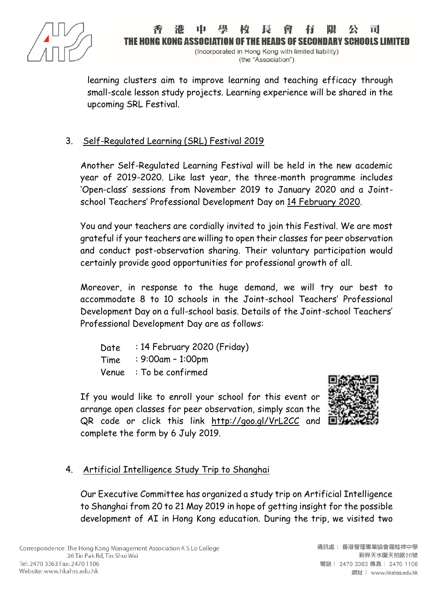

## E HANG KANG A FANS OF SECONNARY SCHOOLS I

(Incorporated in Hong Kong with limited liability) (the "Association")

learning clusters aim to improve learning and teaching efficacy through small-scale lesson study projects. Learning experience will be shared in the upcoming SRL Festival.

# 3. Self-Regulated Learning (SRL) Festival 2019

Another Self-Regulated Learning Festival will be held in the new academic year of 2019-2020. Like last year, the three-month programme includes 'Open-class' sessions from November 2019 to January 2020 and a Jointschool Teachers' Professional Development Day on 14 February 2020.

You and your teachers are cordially invited to join this Festival. We are most grateful if your teachers are willing to open their classes for peer observation and conduct post-observation sharing. Their voluntary participation would certainly provide good opportunities for professional growth of all.

Moreover, in response to the huge demand, we will try our best to accommodate 8 to 10 schools in the Joint-school Teachers' Professional Development Day on a full-school basis. Details of the Joint-school Teachers' Professional Development Day are as follows:

Date Time : 14 February 2020 (Friday) : 9:00am – 1:00pm Venue : To be confirmed

If you would like to enroll your school for this event or arrange open classes for peer observation, simply scan the QR code or click this link <http://goo.gl/VrL2CC> and complete the form by 6 July 2019.



# 4. Artificial Intelligence Study Trip to Shanghai

Our Executive Committee has organized a study trip on Artificial Intelligence to Shanghai from 20 to 21 May 2019 in hope of getting insight for the possible development of AI in Hong Kong education. During the trip, we visited two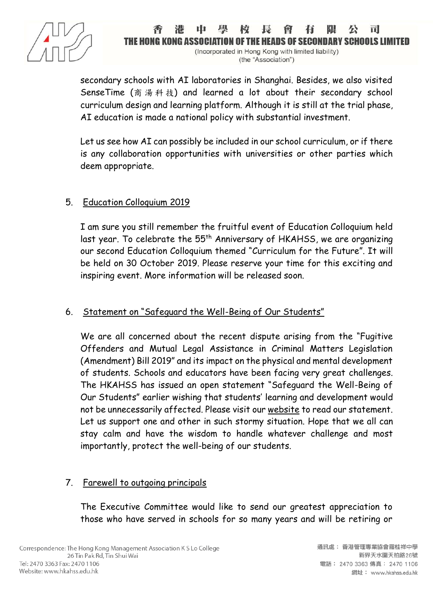

#### **E HONG KONG ASSOC** OF THE HEADS OF SECONDARY SCHOOLS LI

(Incorporated in Hong Kong with limited liability) (the "Association")

secondary schools with AI laboratories in Shanghai. Besides, we also visited SenseTime (商 湯 科 技) and learned a lot about their secondary school curriculum design and learning platform. Although it is still at the trial phase, AI education is made a national policy with substantial investment.

Let us see how AI can possibly be included in our school curriculum, or if there is any collaboration opportunities with universities or other parties which deem appropriate.

# 5. Education Colloquium 2019

I am sure you still remember the fruitful event of Education Colloquium held last year. To celebrate the 55<sup>th</sup> Anniversary of HKAHSS, we are organizing our second Education Colloquium themed "Curriculum for the Future". It will be held on 30 October 2019. Please reserve your time for this exciting and inspiring event. More information will be released soon.

## 6. Statement on "Safeguard the Well-Being of Our Students"

We are all concerned about the recent dispute arising from the "Fugitive Offenders and Mutual Legal Assistance in Criminal Matters Legislation (Amendment) Bill 2019" and its impact on the physical and mental development of students. Schools and educators have been facing very great challenges. The HKAHSS has issued an open statement "Safeguard the Well-Being of Our Students" earlier wishing that students' learning and development would not be unnecessarily affected. Please visit our [website](https://www.hkahss.edu.hk/%E5%AE%88%E8%AD%B7%E5%AD%B8%E7%94%9F%E8%A4%94%E7%A5%89-%E7%9A%84%E8%81%B2%E6%98%8E/) to read our statement. Let us support one and other in such stormy situation. Hope that we all can stay calm and have the wisdom to handle whatever challenge and most importantly, protect the well-being of our students.

## 7. Farewell to outgoing principals

The Executive Committee would like to send our greatest appreciation to those who have served in schools for so many years and will be retiring or